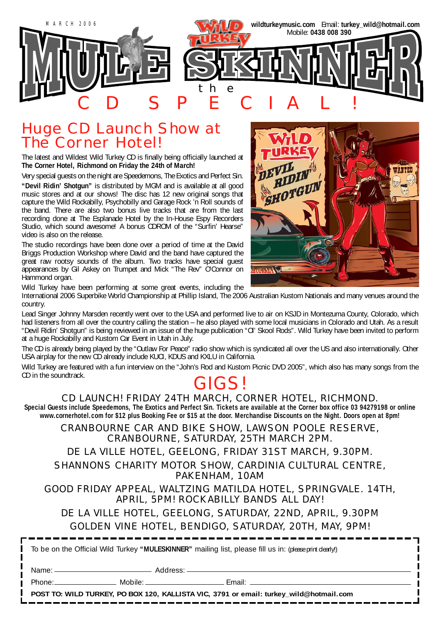

### Huge CD Launch Show at The Corner Hotel!

The latest and Wildest Wild Turkey CD is finally being officially launched at **The Corner Hotel, Richmond on Friday the 24th of March!**

Very special guests on the night are Speedemons, The Exotics and Perfect Sin.

**"Devil Ridin' Shotgun"** is distributed by MGM and is available at all good music stores and at our shows! The disc has 12 new original songs that capture the Wild Rockabilly, Psychobilly and Garage Rock 'n Roll sounds of the band. There are also two bonus live tracks that are from the last recording done at The Esplanade Hotel by the In-House Espy Recorders Studio, which sound awesome! A bonus CDROM of the "Surfin' Hearse" video is also on the release.

The studio recordings have been done over a period of time at the David Briggs Production Workshop where David and the band have captured the great raw rootsy sounds of the album. Two tracks have special guest appearances by Gil Askey on Trumpet and Mick "The Rev" O'Connor on Hammond organ.



Wild Turkey have been performing at some great events, including the

International 2006 Superbike World Championship at Phillip Island, The 2006 Australian Kustom Nationals and many venues around the country.

Lead Singer Johnny Marsden recently went over to the USA and performed live to air on KSJD in Montezuma County, Colorado, which had listeners from all over the country calling the station – he also played with some local musicians in Colorado and Utah. As a result "Devil Ridin' Shotgun" is being reviewed in an issue of the huge publication "Ol' Skool Rods". Wild Turkey have been invited to perform at a huge Rockabilly and Kustom Car Event in Utah in July.

The CD is already being played by the "Outlaw For Peace" radio show which is syndicated all over the US and also internationally. Other USA airplay for the new CD already include KUCI, KDUS and KXLU in California.

Wild Turkey are featured with a fun interview on the "John's Rod and Kustom Picnic DVD 2005", which also has many songs from the CD in the soundtrack. CD in the soundtrack.<br>GIGS!

#### CD LAUNCH! FRIDAY 24TH MARCH, CORNER HOTEL, RICHMOND.

**Special Guests include Speedemons, The Exotics and Perfect Sin. Tickets are available at the Corner box office 03 94279198 or online www.cornerhotel.com for \$12 plus Booking Fee or \$15 at the door. Merchandise Discounts on the Night. Doors open at 8pm!**

CRANBOURNE CAR AND BIKE SHOW, LAWSON POOLE RESERVE, CRANBOURNE, SATURDAY, 25TH MARCH 2PM. DE LA VILLE HOTEL, GEELONG, FRIDAY 31ST MARCH, 9.30PM. SHANNONS CHARITY MOTOR SHOW, CARDINIA CULTURAL CENTRE, PAKENHAM, 10AM

#### GOOD FRIDAY APPEAL, WALTZING MATILDA HOTEL, SPRINGVALE. 14TH, APRIL, 5PM! ROCKABILLY BANDS ALL DAY!

#### DE LA VILLE HOTEL, GEELONG, SATURDAY, 22ND, APRIL, 9.30PM GOLDEN VINE HOTEL, BENDIGO, SATURDAY, 20TH, MAY, 9PM!

To be on the Official Wild Turkey **"MULESKINNER"** mailing list, please fill us in: (please print clearly!)

Name: Address:

Phone: Mobile: 2000 Mobile: 2000 Mobile: 2000 Mobile: 2000 Mobile: 2000 Mobile: 2000 Mobile: 2000 Mobile: 2000

**POST TO: WILD TURKEY, PO BOX 120, KALLISTA VIC, 3791 or email: turkey\_wild@hotmail.com**